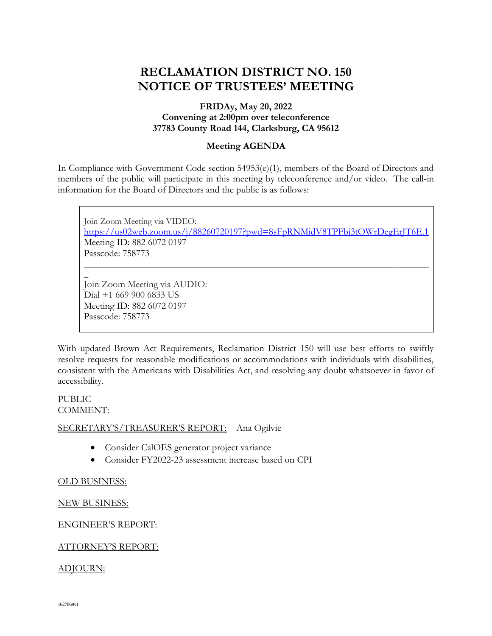# **RECLAMATION DISTRICT NO. 150 NOTICE OF TRUSTEES' MEETING**

### **FRIDAy, May 20, 2022 Convening at 2:00pm over teleconference 37783 County Road 144, Clarksburg, CA 95612**

#### **Meeting AGENDA**

In Compliance with Government Code section 54953(e)(1), members of the Board of Directors and members of the public will participate in this meeting by teleconference and/or video. The call-in information for the Board of Directors and the public is as follows:

Join Zoom Meeting via VIDEO: <https://us02web.zoom.us/j/88260720197?pwd=8sFpRNMidV8TPFbj3tOWrDegErJT6E.1> Meeting ID: 882 6072 0197 Passcode: 758773 \_\_\_\_\_\_\_\_\_\_\_\_\_\_\_\_\_\_\_\_\_\_\_\_\_\_\_\_\_\_\_\_\_\_\_\_\_\_\_\_\_\_\_\_\_\_\_\_\_\_\_\_\_\_\_\_\_\_\_\_\_\_\_\_\_\_\_\_\_\_\_\_\_\_\_\_\_\_ \_

Join Zoom Meeting via AUDIO: Dial +1 669 900 6833 US Meeting ID: 882 6072 0197 Passcode: 758773

With updated Brown Act Requirements, Reclamation District 150 will use best efforts to swiftly resolve requests for reasonable modifications or accommodations with individuals with disabilities, consistent with the Americans with Disabilities Act, and resolving any doubt whatsoever in favor of accessibility.

#### PUBLIC COMMENT:

#### SECRETARY'S/TREASURER'S REPORT: Ana Ogilvie

- Consider CalOES generator project variance
- Consider FY2022-23 assessment increase based on CPI

### OLD BUSINESS:

### NEW BUSINESS:

### ENGINEER'S REPORT:

### ATTORNEY'S REPORT:

### ADJOURN: